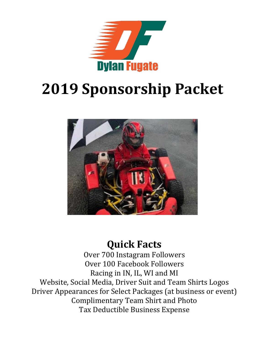

# **2019 Sponsorship Packet**



## **Quick Facts**

Over 700 Instagram Followers Over 100 Facebook Followers Racing in IN, IL, WI and MI Website, Social Media, Driver Suit and Team Shirts Logos Driver Appearances for Select Packages (at business or event) Complimentary Team Shirt and Photo Tax Deductible Business Expense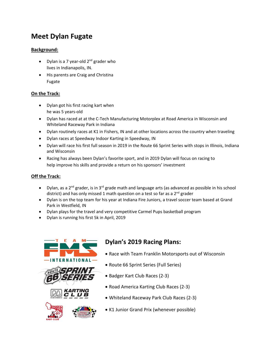## **Meet Dylan Fugate**

## **Background:**

- Dylan is a 7 year-old  $2^{nd}$  grader who lives in Indianapolis, IN.
- His parents are Craig and Christina Fugate

### **On the Track:**

- Dylan got his first racing kart when he was 5 years-old
- Dylan has raced at at the C-Tech Manufacturing Motorplex at Road America in Wisconsin and Whiteland Raceway Park in Indiana
- Dylan routinely races at K1 in Fishers, IN and at other locations across the country when traveling
- Dylan races at Speedway Indoor Karting in Speedway, IN
- Dylan will race his first full season in 2019 in the Route 66 Sprint Series with stops in Illinois, Indiana and Wisconsin
- Racing has always been Dylan's favorite sport, and in 2019 Dylan will focus on racing to help improve his skills and provide a return on his sponsors' investment

### **Off the Track:**

- Dylan, as a 2<sup>nd</sup> grader, is in 3<sup>rd</sup> grade math and language arts (as advanced as possible in his school district) and has only missed 1 math question on a test so far as a  $2^{nd}$  grader
- Dylan is on the top team for his year at Indiana Fire Juniors, a travel soccer team based at Grand Park in Westfield, IN
- Dylan plays for the travel and very competitive Carmel Pups basketball program
- Dylan is running his first 5k in April, 2019





## **Dylan's 2019 Racing Plans:**

- Race with Team Franklin Motorsports out of Wisconsin
- Route 66 Sprint Series (Full Series)
- Badger Kart Club Races (2-3)
- Road America Karting Club Races (2-3)
- Whiteland Raceway Park Club Races (2-3)
- K1 Junior Grand Prix (whenever possible)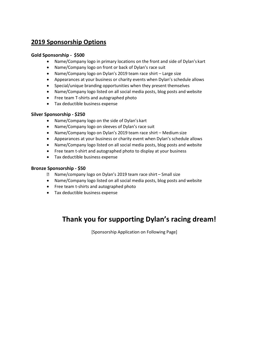## **2019 Sponsorship Options**

#### **Gold Sponsorship - \$500**

- Name/Company logo in primary locations on the front and side of Dylan's kart
- Name/Company logo on front or back of Dylan's race suit
- Name/Company logo on Dylan's 2019 team race shirt Large size
- Appearances at your business or charity events when Dylan's schedule allows
- Special/unique branding opportunities when they present themselves
- Name/Company logo listed on all social media posts, blog posts and website
- Free team T-shirts and autographed photo
- Tax deductible business expense

#### **Silver Sponsorship - \$250**

- Name/Company logo on the side of Dylan's kart
- Name/Company logo on sleeves of Dylan's race suit
- Name/Company logo on Dylan's 2019 team race shirt Medium size
- Appearances at your business or charity event when Dylan's schedule allows
- Name/Company logo listed on all social media posts, blog posts and website
- Free team t-shirt and autographed photo to display at your business
- Tax deductible business expense

#### **Bronze Sponsorship - \$50**

- Name/company logo on Dylan's 2019 team race shirt Small size
- Name/Company logo listed on all social media posts, blog posts and website
- Free team t-shirts and autographed photo
- Tax deductible business expense

## **Thank you for supporting Dylan's racing dream!**

[Sponsorship Application on Following Page]